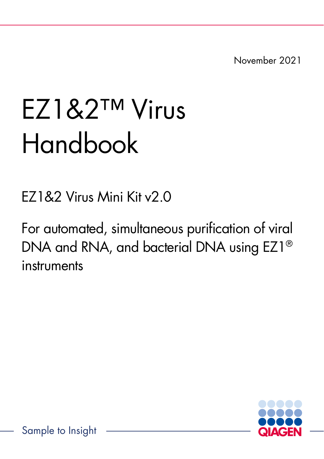November 2021

# EZ1&2™ Virus Handbook

EZ1&2 Virus Mini Kit v2.0

For automated, simultaneous purification of viral DNA and RNA, and bacterial DNA using EZ1® instruments

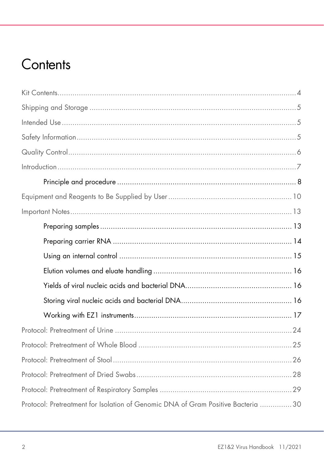### Contents

| Protocol: Pretreatment for Isolation of Genomic DNA of Gram Positive Bacteria 30 |  |
|----------------------------------------------------------------------------------|--|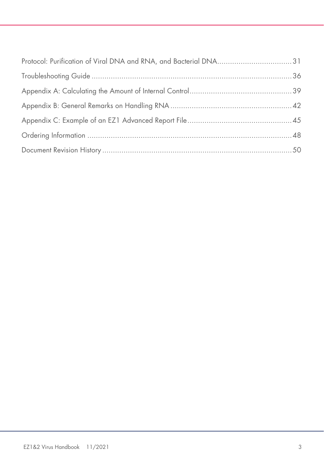| Protocol: Purification of Viral DNA and RNA, and Bacterial DNA31 |  |
|------------------------------------------------------------------|--|
|                                                                  |  |
|                                                                  |  |
|                                                                  |  |
|                                                                  |  |
|                                                                  |  |
|                                                                  |  |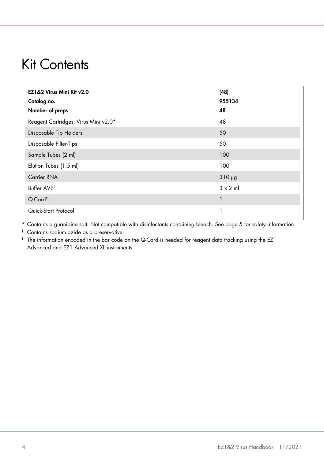### <span id="page-3-0"></span>Kit Contents

| EZ1&2 Virus Mini Kit v2.0<br>Catalog no.          | (48)<br>955134 |
|---------------------------------------------------|----------------|
| Number of preps                                   | 48             |
| Reagent Cartridges, Virus Mini v2.0* <sup>†</sup> | 48             |
| Disposable Tip Holders                            | 50             |
| Disposable Filter-Tips                            | 50             |
| Sample Tubes (2 ml)                               | 100            |
| Elution Tubes (1.5 ml)                            | 100            |
| <b>Carrier RNA</b>                                | $310 \mu g$    |
| Buffer AVE <sup>t</sup>                           | $3 \times 2$ m |
| $Q$ -Card <sup>‡</sup>                            |                |
| Quick-Start Protocol                              |                |

\* Contains a guanidine salt. Not compatible with disinfectants containing bleach. See page [5](#page-4-2) for safety information.

† Contains sodium azide as a preservative.

‡ The information encoded in the bar code on the Q-Card is needed for reagent data tracking using the EZ1 Advanced and EZ1 Advanced XL instruments.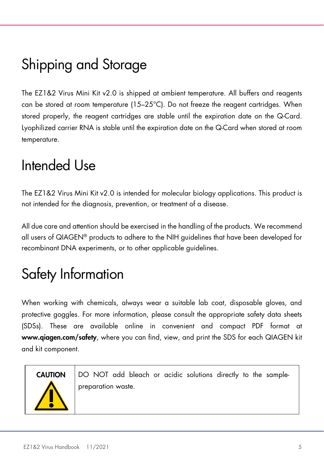# <span id="page-4-0"></span>Shipping and Storage

The EZ1&2 Virus Mini Kit v2.0 is shipped at ambient temperature. All buffers and reagents can be stored at room temperature (15–25°C). Do not freeze the reagent cartridges. When stored properly, the reagent cartridges are stable until the expiration date on the Q-Card. Lyophilized carrier RNA is stable until the expiration date on the Q-Card when stored at room temperature.

### <span id="page-4-1"></span>Intended Use

The EZ1&2 Virus Mini Kit v2.0 is intended for molecular biology applications. This product is not intended for the diagnosis, prevention, or treatment of a disease.

All due care and attention should be exercised in the handling of the products. We recommend all users of QIAGEN® products to adhere to the NIH guidelines that have been developed for recombinant DNA experiments, or to other applicable guidelines.

# <span id="page-4-2"></span>Safety Information

When working with chemicals, always wear a suitable lab coat, disposable gloves, and protective goggles. For more information, please consult the appropriate safety data sheets (SDSs). These are available online in convenient and compact PDF format at www.qiagen.com/safety, where you can find, view, and print the SDS for each QIAGEN kit and kit component.



CAUTION DO NOT add bleach or acidic solutions directly to the samplepreparation waste.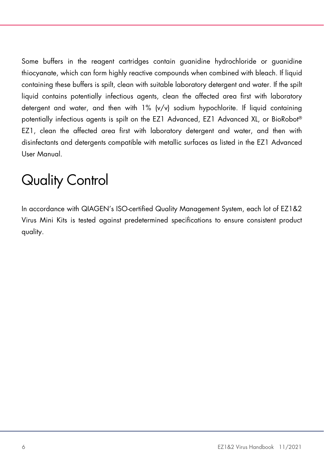Some buffers in the reagent cartridges contain guanidine hydrochloride or guanidine thiocyanate, which can form highly reactive compounds when combined with bleach. If liquid containing these buffers is spilt, clean with suitable laboratory detergent and water. If the spilt liquid contains potentially infectious agents, clean the affected area first with laboratory detergent and water, and then with  $1\%$  (v/v) sodium hypochlorite. If liquid containing potentially infectious agents is spilt on the EZ1 Advanced, EZ1 Advanced XL, or BioRobot® EZ1, clean the affected area first with laboratory detergent and water, and then with disinfectants and detergents compatible with metallic surfaces as listed in the EZ1 Advanced User Manual.

# <span id="page-5-0"></span>Quality Control

In accordance with QIAGEN's ISO-certified Quality Management System, each lot of EZ1&2 Virus Mini Kits is tested against predetermined specifications to ensure consistent product quality.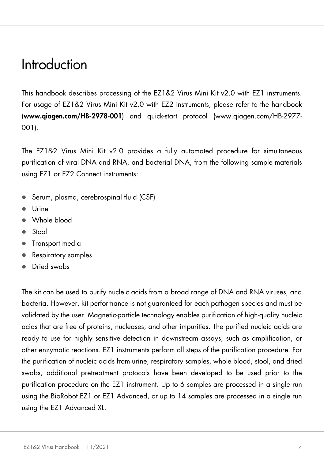### <span id="page-6-0"></span>Introduction

This handbook describes processing of the EZ1&2 Virus Mini Kit v2.0 with EZ1 instruments. For usage of EZ1&2 Virus Mini Kit v2.0 with EZ2 instruments, please refer to the handbook (www.qiagen.com/HB-2978-001) and quick-start protocol (www.qiagen.com/HB-2977- 001).

The EZ1&2 Virus Mini Kit v2.0 provides a fully automated procedure for simultaneous purification of viral DNA and RNA, and bacterial DNA, from the following sample materials using EZ1 or EZ2 Connect instruments:

- Serum, plasma, cerebrospinal fluid (CSF)
- Urine
- Whole blood
- Stool
- **•** Transport media
- Respiratory samples
- Dried swabs

The kit can be used to purify nucleic acids from a broad range of DNA and RNA viruses, and bacteria. However, kit performance is not guaranteed for each pathogen species and must be validated by the user. Magnetic-particle technology enables purification of high-quality nucleic acids that are free of proteins, nucleases, and other impurities. The purified nucleic acids are ready to use for highly sensitive detection in downstream assays, such as amplification, or other enzymatic reactions. EZ1 instruments perform all steps of the purification procedure. For the purification of nucleic acids from urine, respiratory samples, whole blood, stool, and dried swabs, additional pretreatment protocols have been developed to be used prior to the purification procedure on the EZ1 instrument. Up to 6 samples are processed in a single run using the BioRobot EZ1 or EZ1 Advanced, or up to 14 samples are processed in a single run using the EZ1 Advanced XL.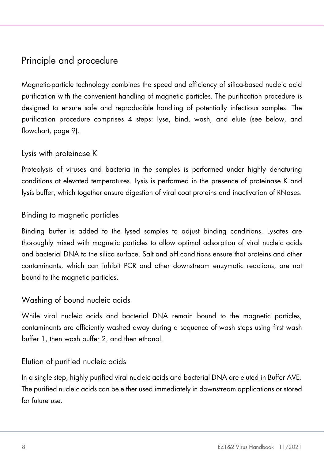### <span id="page-7-0"></span>Principle and procedure

Magnetic-particle technology combines the speed and efficiency of silica-based nucleic acid purification with the convenient handling of magnetic particles. The purification procedure is designed to ensure safe and reproducible handling of potentially infectious samples. The purification procedure comprises 4 steps: lyse, bind, wash, and elute (see below, and flowchart, page 9).

#### Lysis with proteinase K

Proteolysis of viruses and bacteria in the samples is performed under highly denaturing conditions at elevated temperatures. Lysis is performed in the presence of proteinase K and lysis buffer, which together ensure digestion of viral coat proteins and inactivation of RNases.

#### Binding to magnetic particles

Binding buffer is added to the lysed samples to adjust binding conditions. Lysates are thoroughly mixed with magnetic particles to allow optimal adsorption of viral nucleic acids and bacterial DNA to the silica surface. Salt and pH conditions ensure that proteins and other contaminants, which can inhibit PCR and other downstream enzymatic reactions, are not bound to the magnetic particles.

#### Washing of bound nucleic acids

While viral nucleic acids and bacterial DNA remain bound to the magnetic particles, contaminants are efficiently washed away during a sequence of wash steps using first wash buffer 1, then wash buffer 2, and then ethanol.

#### Elution of purified nucleic acids

In a single step, highly purified viral nucleic acids and bacterial DNA are eluted in Buffer AVE. The purified nucleic acids can be either used immediately in downstream applications or stored for future use.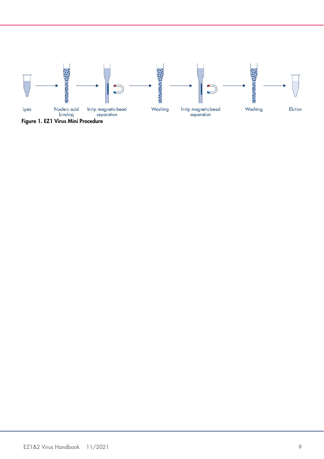

Figure 1. EZ1 Virus Mini Procedure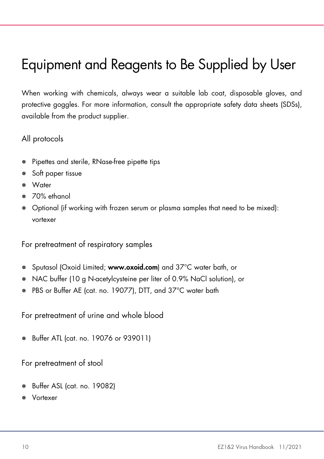# <span id="page-9-0"></span>Equipment and Reagents to Be Supplied by User

When working with chemicals, always wear a suitable lab coat, disposable gloves, and protective goggles. For more information, consult the appropriate safety data sheets (SDSs), available from the product supplier.

#### All protocols

- Pipettes and sterile, RNase-free pipette tips
- Soft paper tissue
- Water
- 70% ethanol
- Optional (if working with frozen serum or plasma samples that need to be mixed): vortexer

For pretreatment of respiratory samples

- Sputasol (Oxoid Limited; www.oxoid.com) and 37°C water bath, or
- NAC buffer (10 g N-acetylcysteine per liter of 0.9% NaCl solution), or
- PBS or Buffer AE (cat. no. 19077), DTT, and 37°C water bath

For pretreatment of urine and whole blood

Buffer ATL (cat. no. 19076 or 939011)

For pretreatment of stool

- Buffer ASL (cat. no. 19082)
- Vortexer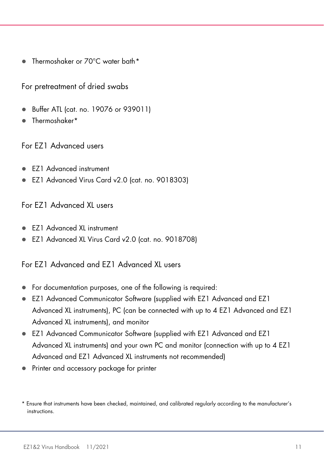● Thermoshaker or 70°C water bath[\\*](#page-10-0)

For pretreatment of dried swabs

- Buffer ATL (cat. no. 19076 or 939011)
- Thermoshaker\*

For EZ1 Advanced users

- EZ1 Advanced instrument
- EZ1 Advanced Virus Card v2.0 (cat. no. 9018303)

#### For EZ1 Advanced XL users

- EZ1 Advanced XL instrument
- EZ1 Advanced XL Virus Card v2.0 (cat. no. 9018708)

For EZ1 Advanced and EZ1 Advanced XL users

- For documentation purposes, one of the following is required:
- EZ1 Advanced Communicator Software (supplied with EZ1 Advanced and EZ1 Advanced XL instruments), PC (can be connected with up to 4 EZ1 Advanced and EZ1 Advanced XL instruments), and monitor
- EZ1 Advanced Communicator Software (supplied with EZ1 Advanced and EZ1 Advanced XL instruments) and your own PC and monitor (connection with up to 4 EZ1 Advanced and EZ1 Advanced XL instruments not recommended)
- Printer and accessory package for printer

<span id="page-10-0"></span><sup>\*</sup> Ensure that instruments have been checked, maintained, and calibrated regularly according to the manufacturer's instructions.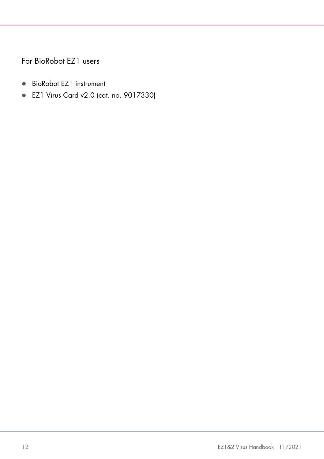For BioRobot EZ1 users

- BioRobot EZ1 instrument
- EZ1 Virus Card v2.0 (cat. no. 9017330)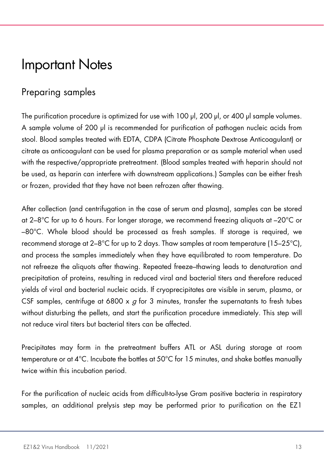### <span id="page-12-0"></span>Important Notes

### <span id="page-12-1"></span>Preparing samples

The purification procedure is optimized for use with 100 μl, 200 μl, or 400 μl sample volumes. A sample volume of 200 μl is recommended for purification of pathogen nucleic acids from stool. Blood samples treated with EDTA, CDPA (Citrate Phosphate Dextrose Anticoagulant) or citrate as anticoagulant can be used for plasma preparation or as sample material when used with the respective/appropriate pretreatment. (Blood samples treated with heparin should not be used, as heparin can interfere with downstream applications.) Samples can be either fresh or frozen, provided that they have not been refrozen after thawing.

After collection (and centrifugation in the case of serum and plasma), samples can be stored at 2–8°C for up to 6 hours. For longer storage, we recommend freezing aliquots at –20°C or –80°C. Whole blood should be processed as fresh samples. If storage is required, we recommend storage at  $2-8$ °C for up to 2 days. Thaw samples at room temperature (15–25°C), and process the samples immediately when they have equilibrated to room temperature. Do not refreeze the aliquots after thawing. Repeated freeze–thawing leads to denaturation and precipitation of proteins, resulting in reduced viral and bacterial titers and therefore reduced yields of viral and bacterial nucleic acids. If cryoprecipitates are visible in serum, plasma, or CSF samples, centrifuge at 6800 x  $\sigma$  for 3 minutes, transfer the supernatants to fresh tubes without disturbing the pellets, and start the purification procedure immediately. This step will not reduce viral titers but bacterial titers can be affected.

Precipitates may form in the pretreatment buffers ATL or ASL during storage at room temperature or at 4°C. Incubate the bottles at 50°C for 15 minutes, and shake bottles manually twice within this incubation period.

For the purification of nucleic acids from difficult-to-lyse Gram positive bacteria in respiratory samples, an additional prelysis step may be performed prior to purification on the EZ1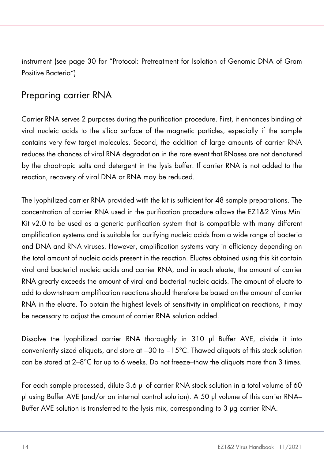instrument (see page [30](#page-29-0) for ["Protocol: Pretreatment for Isolation of Genomic DNA of Gram](#page-29-0)  [Positive Bacteria"](#page-29-0)).

### <span id="page-13-0"></span>Preparing carrier RNA

Carrier RNA serves 2 purposes during the purification procedure. First, it enhances binding of viral nucleic acids to the silica surface of the magnetic particles, especially if the sample contains very few target molecules. Second, the addition of large amounts of carrier RNA reduces the chances of viral RNA degradation in the rare event that RNases are not denatured by the chaotropic salts and detergent in the lysis buffer. If carrier RNA is not added to the reaction, recovery of viral DNA or RNA may be reduced.

The lyophilized carrier RNA provided with the kit is sufficient for 48 sample preparations. The concentration of carrier RNA used in the purification procedure allows the EZ1&2 Virus Mini Kit v2.0 to be used as a generic purification system that is compatible with many different amplification systems and is suitable for purifying nucleic acids from a wide range of bacteria and DNA and RNA viruses. However, amplification systems vary in efficiency depending on the total amount of nucleic acids present in the reaction. Eluates obtained using this kit contain viral and bacterial nucleic acids and carrier RNA, and in each eluate, the amount of carrier RNA greatly exceeds the amount of viral and bacterial nucleic acids. The amount of eluate to add to downstream amplification reactions should therefore be based on the amount of carrier RNA in the eluate. To obtain the highest levels of sensitivity in amplification reactions, it may be necessary to adjust the amount of carrier RNA solution added.

Dissolve the lyophilized carrier RNA thoroughly in 310 μl Buffer AVE, divide it into conveniently sized aliquots, and store at −30 to −15°C. Thawed aliquots of this stock solution can be stored at 2–8°C for up to 6 weeks. Do not freeze–thaw the aliquots more than 3 times.

For each sample processed, dilute 3.6 μl of carrier RNA stock solution in a total volume of 60 μl using Buffer AVE (and/or an internal control solution). A 50 μl volume of this carrier RNA– Buffer AVE solution is transferred to the lysis mix, corresponding to 3 μg carrier RNA.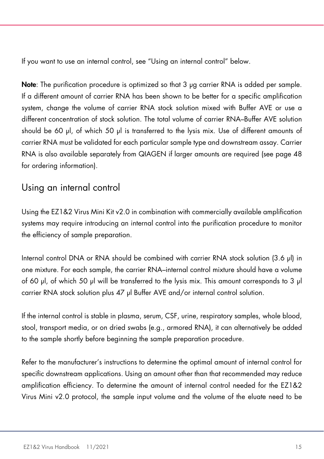If you want to use an internal control, see "Using an internal control" below.

Note: The purification procedure is optimized so that 3 μg carrier RNA is added per sample. If a different amount of carrier RNA has been shown to be better for a specific amplification system, change the volume of carrier RNA stock solution mixed with Buffer AVE or use a different concentration of stock solution. The total volume of carrier RNA–Buffer AVE solution should be 60 μl, of which 50 μl is transferred to the lysis mix. Use of different amounts of carrier RNA must be validated for each particular sample type and downstream assay. Carrier RNA is also available separately from QIAGEN if larger amounts are required (see page [48](#page-47-0) for ordering information).

### <span id="page-14-0"></span>Using an internal control

Using the EZ1&2 Virus Mini Kit v2.0 in combination with commercially available amplification systems may require introducing an internal control into the purification procedure to monitor the efficiency of sample preparation.

Internal control DNA or RNA should be combined with carrier RNA stock solution (3.6 μl) in one mixture. For each sample, the carrier RNA–internal control mixture should have a volume of 60 μl, of which 50 μl will be transferred to the lysis mix. This amount corresponds to 3 μl carrier RNA stock solution plus 47 μl Buffer AVE and/or internal control solution.

If the internal control is stable in plasma, serum, CSF, urine, respiratory samples, whole blood, stool, transport media, or on dried swabs (e.g., armored RNA), it can alternatively be added to the sample shortly before beginning the sample preparation procedure.

Refer to the manufacturer's instructions to determine the optimal amount of internal control for specific downstream applications. Using an amount other than that recommended may reduce amplification efficiency. To determine the amount of internal control needed for the EZ1&2 Virus Mini v2.0 protocol, the sample input volume and the volume of the eluate need to be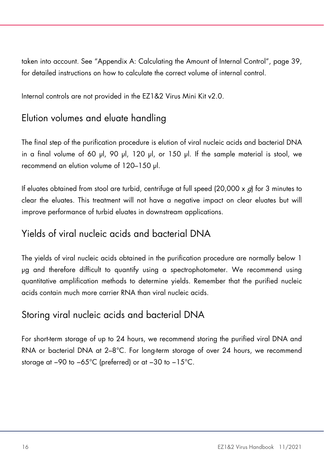taken into account. See ["Appendix A: Calculating the Amount of Internal Control"](#page-38-0), page [39,](#page-38-0) for detailed instructions on how to calculate the correct volume of internal control.

Internal controls are not provided in the EZ1&2 Virus Mini Kit v2.0.

### <span id="page-15-0"></span>Elution volumes and eluate handling

The final step of the purification procedure is elution of viral nucleic acids and bacterial DNA in a final volume of 60 μl, 90 μl, 120 μl, or 150 μl. If the sample material is stool, we recommend an elution volume of 120–150 μl.

If eluates obtained from stool are turbid, centrifuge at full speed  $(20,000 \times g)$  for 3 minutes to clear the eluates. This treatment will not have a negative impact on clear eluates but will improve performance of turbid eluates in downstream applications.

### <span id="page-15-1"></span>Yields of viral nucleic acids and bacterial DNA

The yields of viral nucleic acids obtained in the purification procedure are normally below 1 μg and therefore difficult to quantify using a spectrophotometer. We recommend using quantitative amplification methods to determine yields. Remember that the purified nucleic acids contain much more carrier RNA than viral nucleic acids.

### <span id="page-15-2"></span>Storing viral nucleic acids and bacterial DNA

For short-term storage of up to 24 hours, we recommend storing the purified viral DNA and RNA or bacterial DNA at 2–8°C. For long-term storage of over 24 hours, we recommend storage at −90 to −65°C (preferred) or at −30 to −15°C.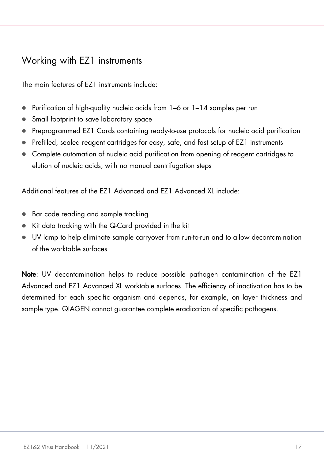### <span id="page-16-0"></span>Working with EZ1 instruments

The main features of EZ1 instruments include:

- Purification of high-quality nucleic acids from 1–6 or 1–14 samples per run
- Small footprint to save laboratory space
- Preprogrammed EZ1 Cards containing ready-to-use protocols for nucleic acid purification
- Prefilled, sealed reagent cartridges for easy, safe, and fast setup of EZ1 instruments
- Complete automation of nucleic acid purification from opening of reagent cartridges to elution of nucleic acids, with no manual centrifugation steps

Additional features of the EZ1 Advanced and EZ1 Advanced XL include:

- Bar code reading and sample tracking
- Kit data tracking with the Q-Card provided in the kit
- UV lamp to help eliminate sample carryover from run-to-run and to allow decontamination of the worktable surfaces

Note: UV decontamination helps to reduce possible pathogen contamination of the EZ1 Advanced and EZ1 Advanced XL worktable surfaces. The efficiency of inactivation has to be determined for each specific organism and depends, for example, on layer thickness and sample type. QIAGEN cannot guarantee complete eradication of specific pathogens.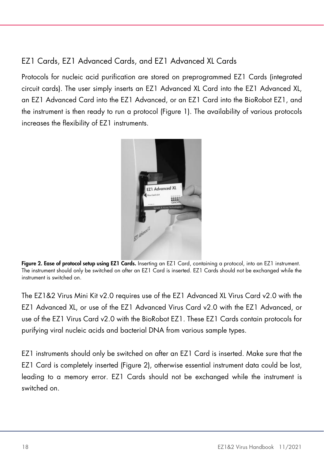### EZ1 Cards, EZ1 Advanced Cards, and EZ1 Advanced XL Cards

Protocols for nucleic acid purification are stored on preprogrammed EZ1 Cards (integrated circuit cards). The user simply inserts an EZ1 Advanced XL Card into the EZ1 Advanced XL, an EZ1 Advanced Card into the EZ1 Advanced, or an EZ1 Card into the BioRobot EZ1, and the instrument is then ready to run a protocol [\(Figure 1\).](#page-17-0) The availability of various protocols increases the flexibility of EZ1 instruments.



Figure 2. Ease of protocol setup using EZ1 Cards. Inserting an EZ1 Card, containing a protocol, into an EZ1 instrument. The instrument should only be switched on after an EZ1 Card is inserted. EZ1 Cards should not be exchanged while the instrument is switched on.

<span id="page-17-0"></span>The EZ1&2 Virus Mini Kit v2.0 requires use of the EZ1 Advanced XL Virus Card v2.0 with the EZ1 Advanced XL, or use of the EZ1 Advanced Virus Card v2.0 with the EZ1 Advanced, or use of the EZ1 Virus Card v2.0 with the BioRobot EZ1. These EZ1 Cards contain protocols for purifying viral nucleic acids and bacterial DNA from various sample types.

EZ1 instruments should only be switched on after an EZ1 Card is inserted. Make sure that the EZ1 Card is completely inserted [\(Figure 2\)](#page-18-0), otherwise essential instrument data could be lost, leading to a memory error. EZ1 Cards should not be exchanged while the instrument is switched on.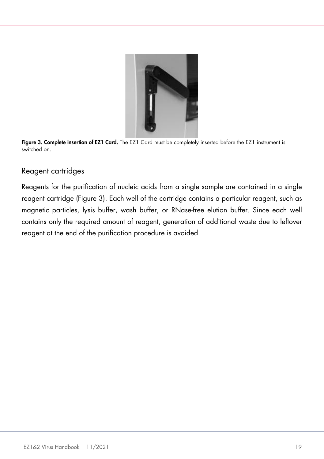

<span id="page-18-0"></span>

#### Reagent cartridges

Reagents for the purification of nucleic acids from a single sample are contained in a single reagent cartridge [\(Figure 3\)](#page-19-0). Each well of the cartridge contains a particular reagent, such as magnetic particles, lysis buffer, wash buffer, or RNase-free elution buffer. Since each well contains only the required amount of reagent, generation of additional waste due to leftover reagent at the end of the purification procedure is avoided.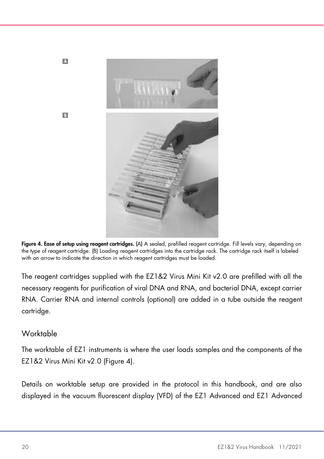

Figure 4. Ease of setup using reagent cartridges. (A) A sealed, prefilled reagent cartridge. Fill levels vary, depending on the type of reagent cartridge. (B) Loading reagent cartridges into the cartridge rack. The cartridge rack itself is labeled with an arrow to indicate the direction in which reagent cartridges must be loaded.

<span id="page-19-0"></span>The reagent cartridges supplied with the EZ1&2 Virus Mini Kit v2.0 are prefilled with all the necessary reagents for purification of viral DNA and RNA, and bacterial DNA, except carrier RNA. Carrier RNA and internal controls (optional) are added in a tube outside the reagent cartridge.

#### Worktable

 $\overline{A}$ 

**B** 

The worktable of EZ1 instruments is where the user loads samples and the components of the EZ1&2 Virus Mini Kit v2.0 [\(Figure 4\)](#page-20-0).

Details on worktable setup are provided in the protocol in this handbook, and are also displayed in the vacuum fluorescent display (VFD) of the EZ1 Advanced and EZ1 Advanced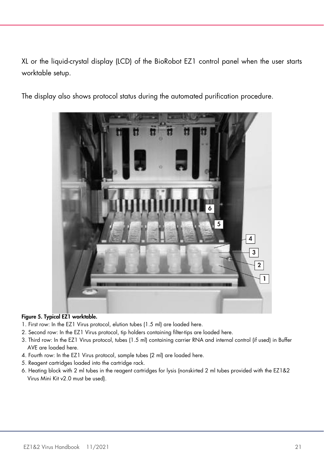XL or the liquid-crystal display (LCD) of the BioRobot EZ1 control panel when the user starts worktable setup.

The display also shows protocol status during the automated purification procedure.



#### <span id="page-20-0"></span>Figure 5. Typical EZ1 worktable.

- 1. First row: In the EZ1 Virus protocol, elution tubes (1.5 ml) are loaded here.
- 2. Second row: In the EZ1 Virus protocol, tip holders containing filter-tips are loaded here.
- 3. Third row: In the EZ1 Virus protocol, tubes (1.5 ml) containing carrier RNA and internal control (if used) in Buffer AVE are loaded here.
- 4. Fourth row: In the EZ1 Virus protocol, sample tubes (2 ml) are loaded here.
- 5. Reagent cartridges loaded into the cartridge rack.
- 6. Heating block with 2 ml tubes in the reagent cartridges for lysis (nonskirted 2 ml tubes provided with the EZ1&2 Virus Mini Kit v2.0 must be used).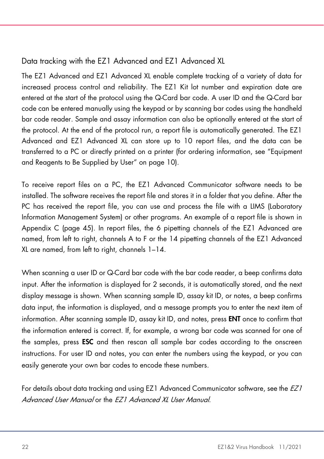### Data tracking with the EZ1 Advanced and EZ1 Advanced XL

The EZ1 Advanced and EZ1 Advanced XL enable complete tracking of a variety of data for increased process control and reliability. The EZ1 Kit lot number and expiration date are entered at the start of the protocol using the Q-Card bar code. A user ID and the Q-Card bar code can be entered manually using the keypad or by scanning bar codes using the handheld bar code reader. Sample and assay information can also be optionally entered at the start of the protocol. At the end of the protocol run, a report file is automatically generated. The EZ1 Advanced and EZ1 Advanced XL can store up to 10 report files, and the data can be transferred to a PC or directly printed on a printer (for ordering information, see ["Equipment](#page-9-0)  [and Reagents to Be Supplied by User"](#page-9-0) on page [10\)](#page-9-0).

To receive report files on a PC, the EZ1 Advanced Communicator software needs to be installed. The software receives the report file and stores it in a folder that you define. After the PC has received the report file, you can use and process the file with a LIMS (Laboratory Information Management System) or other programs. An example of a report file is shown in Appendix C (page [45\).](#page-44-0) In report files, the 6 pipetting channels of the EZ1 Advanced are named, from left to right, channels A to F or the 14 pipetting channels of the EZ1 Advanced XL are named, from left to right, channels 1–14.

When scanning a user ID or Q-Card bar code with the bar code reader, a beep confirms data input. After the information is displayed for 2 seconds, it is automatically stored, and the next display message is shown. When scanning sample ID, assay kit ID, or notes, a beep confirms data input, the information is displayed, and a message prompts you to enter the next item of information. After scanning sample ID, assay kit ID, and notes, press ENT once to confirm that the information entered is correct. If, for example, a wrong bar code was scanned for one of the samples, press ESC and then rescan all sample bar codes according to the onscreen instructions. For user ID and notes, you can enter the numbers using the keypad, or you can easily generate your own bar codes to encode these numbers.

For details about data tracking and using EZ1 Advanced Communicator software, see the *EZ1* Advanced User Manual or the FZ1 Advanced XL User Manual.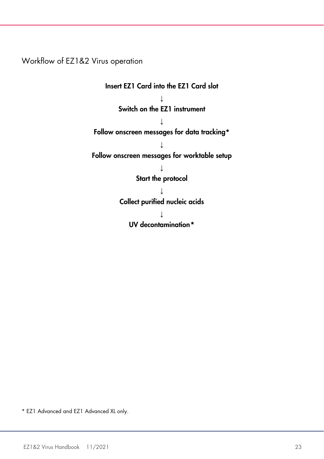Workflow of EZ1&2 Virus operation

Insert EZ1 Card into the EZ1 Card slot  $\perp$ Switch on the EZ1 instrument  $\perp$ Follow onscreen messages for data tracking\* ↓ Follow onscreen messages for worktable setup ↓ Start the protocol ↓ Collect purified nucleic acids ↓ UV decontamination[\\*](#page-22-0)

<span id="page-22-0"></span>\* EZ1 Advanced and EZ1 Advanced XL only.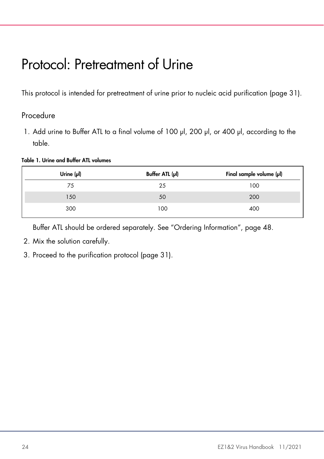# <span id="page-23-0"></span>Protocol: Pretreatment of Urine

This protocol is intended for pretreatment of urine prior to nucleic acid purification (page [31\)](#page-30-0).

### Procedure

1. Add urine to Buffer ATL to a final volume of 100 μl, 200 μl, or 400 μl, according to the table.

Table 1. Urine and Buffer ATL volumes

| Urine $(\mu I)$ | Buffer ATL (pl) | Final sample volume (µl) |
|-----------------|-----------------|--------------------------|
| 75              | 25              | 100                      |
| 150             | 50              | 200                      |
| 300             | 100             | 400                      |

Buffer ATL should be ordered separately. See ["Ordering Information"](#page-47-0), page [48.](#page-47-0)

- 2. Mix the solution carefully.
- 3. Proceed to the purification protocol (page [31\)](#page-30-0).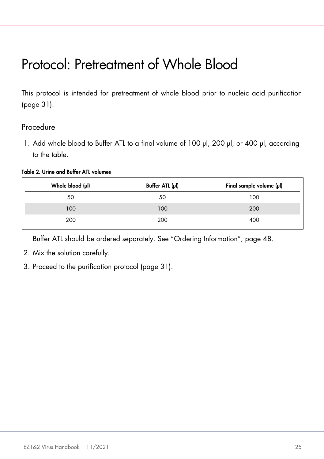# <span id="page-24-0"></span>Protocol: Pretreatment of Whole Blood

This protocol is intended for pretreatment of whole blood prior to nucleic acid purification (page [31\)](#page-30-0).

#### Procedure

1. Add whole blood to Buffer ATL to a final volume of 100 μl, 200 μl, or 400 μl, according to the table.

#### Table 2. Urine and Buffer ATL volumes

| Whole blood (µl) | Buffer ATL (µl) | Final sample volume (µl) |
|------------------|-----------------|--------------------------|
| 50               | 50              | 100                      |
| 100              | 100             | 200                      |
| 200              | 200             | 400                      |

Buffer ATL should be ordered separately. See "Ordering Information", page [48.](#page-47-0)

- 2. Mix the solution carefully.
- 3. Proceed to the purification protocol (page [31\)](#page-30-0).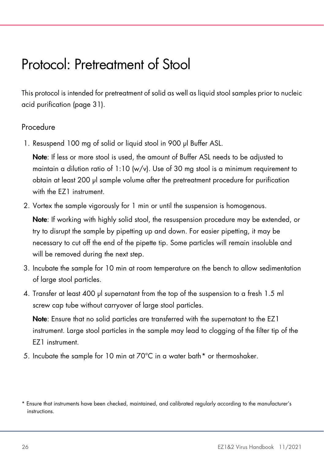### <span id="page-25-0"></span>Protocol: Pretreatment of Stool

This protocol is intended for pretreatment of solid as well as liquid stool samples prior to nucleic acid purification (page [31\)](#page-30-0).

#### Procedure

1. Resuspend 100 mg of solid or liquid stool in 900 μl Buffer ASL.

Note: If less or more stool is used, the amount of Buffer ASL needs to be adjusted to maintain a dilution ratio of  $1:10 \frac{w}{v}$ . Use of 30 mg stool is a minimum requirement to obtain at least 200 μl sample volume after the pretreatment procedure for purification with the F71 instrument.

2. Vortex the sample vigorously for 1 min or until the suspension is homogenous.

Note: If working with highly solid stool, the resuspension procedure may be extended, or try to disrupt the sample by pipetting up and down. For easier pipetting, it may be necessary to cut off the end of the pipette tip. Some particles will remain insoluble and will be removed during the next step.

- 3. Incubate the sample for 10 min at room temperature on the bench to allow sedimentation of large stool particles.
- 4. Transfer at least 400 μl supernatant from the top of the suspension to a fresh 1.5 ml screw cap tube without carryover of large stool particles.

Note: Ensure that no solid particles are transferred with the supernatant to the EZ1 instrument. Large stool particles in the sample may lead to clogging of the filter tip of the EZ1 instrument.

5. Incubate the sample for 10 min at 70°C in a water bath[\\*](#page-25-1) or thermoshaker.

<span id="page-25-1"></span><sup>\*</sup> Ensure that instruments have been checked, maintained, and calibrated regularly according to the manufacturer's instructions.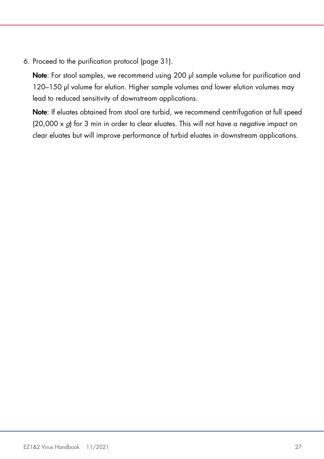6. Proceed to the purification protocol (page [31\)](#page-30-0).

Note: For stool samples, we recommend using 200 μl sample volume for purification and 120–150 μl volume for elution. Higher sample volumes and lower elution volumes may lead to reduced sensitivity of downstream applications.

Note: If eluates obtained from stool are turbid, we recommend centrifugation at full speed  $(20,000 \times g)$  for 3 min in order to clear eluates. This will not have a negative impact on clear eluates but will improve performance of turbid eluates in downstream applications.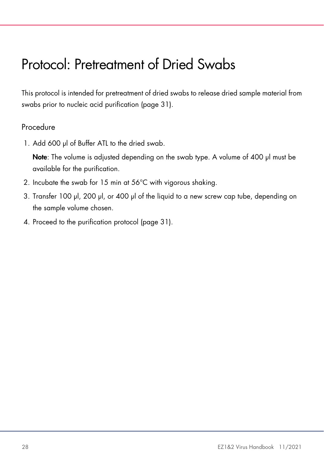# <span id="page-27-0"></span>Protocol: Pretreatment of Dried Swabs

This protocol is intended for pretreatment of dried swabs to release dried sample material from swabs prior to nucleic acid purification (page [31\)](#page-30-0).

#### Procedure

1. Add 600 μl of Buffer ATL to the dried swab.

Note: The volume is adjusted depending on the swab type. A volume of 400 μl must be available for the purification.

- 2. Incubate the swab for 15 min at 56°C with vigorous shaking.
- 3. Transfer 100 μl, 200 μl, or 400 μl of the liquid to a new screw cap tube, depending on the sample volume chosen.
- 4. Proceed to the purification protocol (page [31\)](#page-30-0).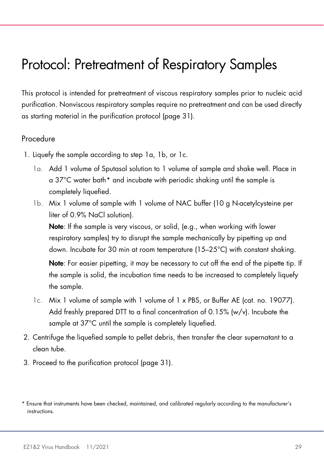### <span id="page-28-0"></span>Protocol: Pretreatment of Respiratory Samples

This protocol is intended for pretreatment of viscous respiratory samples prior to nucleic acid purification. Nonviscous respiratory samples require no pretreatment and can be used directly as starting material in the purification protocol (page [31\).](#page-30-0)

#### Procedure

- 1. Liquefy the sample according to step 1a, 1b, or 1c.
	- 1a. Add 1 volume of Sputasol solution to 1 volume of sample and shake well. Place in a 37°C water bath[\\*](#page-28-1) and incubate with periodic shaking until the sample is completely liquefied.
	- 1b. Mix 1 volume of sample with 1 volume of NAC buffer (10 g N-acetylcysteine per liter of 0.9% NaCl solution).

Note: If the sample is very viscous, or solid, (e.g., when working with lower respiratory samples) try to disrupt the sample mechanically by pipetting up and down. Incubate for 30 min at room temperature (15–25°C) with constant shaking.

Note: For easier pipetting, it may be necessary to cut off the end of the pipette tip. If the sample is solid, the incubation time needs to be increased to completely liquefy the sample.

- 1c. Mix 1 volume of sample with 1 volume of 1 x PBS, or Buffer AE (cat. no. 19077). Add freshly prepared DTT to a final concentration of 0.15% (w/v). Incubate the sample at 37°C until the sample is completely liquefied.
- 2. Centrifuge the liquefied sample to pellet debris, then transfer the clear supernatant to a clean tube.
- 3. Proceed to the purification protocol (page [31\)](#page-30-0).

<span id="page-28-1"></span><sup>\*</sup> Ensure that instruments have been checked, maintained, and calibrated regularly according to the manufacturer's instructions.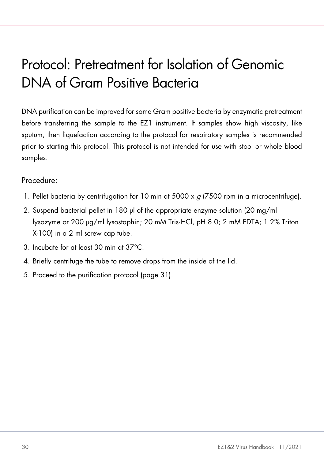# <span id="page-29-0"></span>Protocol: Pretreatment for Isolation of Genomic DNA of Gram Positive Bacteria

DNA purification can be improved for some Gram positive bacteria by enzymatic pretreatment before transferring the sample to the EZ1 instrument. If samples show high viscosity, like sputum, then liquefaction according to the protocol for respiratory samples is recommended prior to starting this protocol. This protocol is not intended for use with stool or whole blood samples.

#### Procedure:

- 1. Pellet bacteria by centrifugation for 10 min at 5000 x  $g$  (7500 rpm in a microcentrifuge).
- 2. Suspend bacterial pellet in 180 μl of the appropriate enzyme solution (20 mg/ml lysozyme or 200 μg/ml lysostaphin; 20 mM Tris·HCl, pH 8.0; 2 mM EDTA; 1.2% Triton X-100) in a 2 ml screw cap tube.
- 3. Incubate for at least 30 min at 37°C.
- 4. Briefly centrifuge the tube to remove drops from the inside of the lid.
- 5. Proceed to the purification protocol (page [31\)](#page-30-0).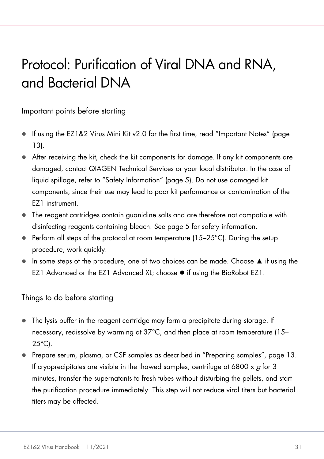# <span id="page-30-0"></span>Protocol: Purification of Viral DNA and RNA, and Bacterial DNA

Important points before starting

- If using the EZ1&2 Virus Mini Kit v2.0 for the first time, read ["Important Notes"](#page-12-0) (page [13\)](#page-12-0).
- After receiving the kit, check the kit components for damage. If any kit components are damaged, contact QIAGEN Technical Services or your local distributor. In the case of liquid spillage, refer to ["Safety Information"](#page-4-2) (page [5\).](#page-4-2) Do not use damaged kit components, since their use may lead to poor kit performance or contamination of the EZ1 instrument.
- The reagent cartridges contain guanidine salts and are therefore not compatible with disinfecting reagents containing bleach. See page [5](#page-4-2) for safety information.
- Perform all steps of the protocol at room temperature  $(15-25^{\circ}C)$ . During the setup procedure, work quickly.
- In some steps of the procedure, one of two choices can be made. Choose ▲ if using the EZ1 Advanced or the EZ1 Advanced XL; choose  $\bullet$  if using the BioRobot EZ1.

Things to do before starting

- The lysis buffer in the reagent cartridge may form a precipitate during storage. If necessary, redissolve by warming at 37°C, and then place at room temperature (15– 25°C).
- Prepare serum, plasma, or CSF samples as described in ["Preparing samples"](#page-12-1), page [13.](#page-12-1) If cryoprecipitates are visible in the thawed samples, centrifuge at 6800  $\times$  g for 3 minutes, transfer the supernatants to fresh tubes without disturbing the pellets, and start the purification procedure immediately. This step will not reduce viral titers but bacterial titers may be affected.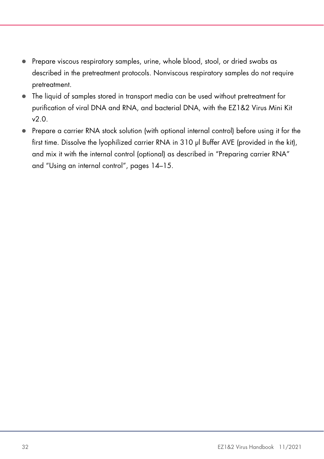- Prepare viscous respiratory samples, urine, whole blood, stool, or dried swabs as described in the pretreatment protocols. Nonviscous respiratory samples do not require pretreatment.
- The liquid of samples stored in transport media can be used without pretreatment for purification of viral DNA and RNA, and bacterial DNA, with the EZ1&2 Virus Mini Kit v2.0.
- Prepare a carrier RNA stock solution (with optional internal control) before using it for the first time. Dissolve the lyophilized carrier RNA in 310 μl Buffer AVE (provided in the kit), and mix it with the internal control (optional) as described in ["Preparing carrier RNA"](#page-13-0) and ["Using an internal control"](#page-14-0), pages [14–](#page-13-0)[15.](#page-14-0)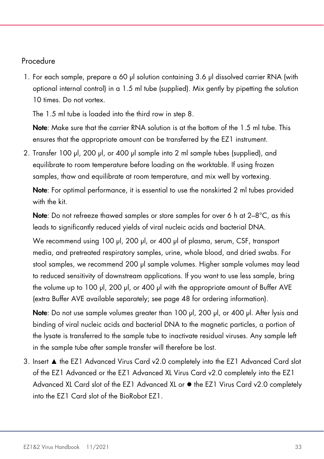#### Procedure

1. For each sample, prepare a 60 μl solution containing 3.6 μl dissolved carrier RNA (with optional internal control) in a 1.5 ml tube (supplied). Mix gently by pipetting the solution 10 times. Do not vortex.

The 1.5 ml tube is loaded into the third row in step [8.](#page-33-0)

Note: Make sure that the carrier RNA solution is at the bottom of the 1.5 ml tube. This ensures that the appropriate amount can be transferred by the EZ1 instrument.

2. Transfer 100 μl, 200 μl, or 400 μl sample into 2 ml sample tubes (supplied), and equilibrate to room temperature before loading on the worktable. If using frozen samples, thaw and equilibrate at room temperature, and mix well by vortexing.

Note: For optimal performance, it is essential to use the nonskirted 2 ml tubes provided with the kit.

Note: Do not refreeze thawed samples or store samples for over 6 h at 2–8°C, as this leads to significantly reduced yields of viral nucleic acids and bacterial DNA.

We recommend using 100 μl, 200 μl, or 400 μl of plasma, serum, CSF, transport media, and pretreated respiratory samples, urine, whole blood, and dried swabs. For stool samples, we recommend 200 μl sample volumes. Higher sample volumes may lead to reduced sensitivity of downstream applications. If you want to use less sample, bring the volume up to 100 μl, 200 μl, or 400 μl with the appropriate amount of Buffer AVE (extra Buffer AVE available separately; see page [48](#page-47-0) for ordering information).

Note: Do not use sample volumes greater than 100 μl, 200 μl, or 400 μl. After lysis and binding of viral nucleic acids and bacterial DNA to the magnetic particles, a portion of the lysate is transferred to the sample tube to inactivate residual viruses. Any sample left in the sample tube after sample transfer will therefore be lost.

3. Insert ▲ the EZ1 Advanced Virus Card v2.0 completely into the EZ1 Advanced Card slot of the EZ1 Advanced or the EZ1 Advanced XL Virus Card v2.0 completely into the EZ1 Advanced XL Card slot of the EZ1 Advanced XL or  $\bullet$  the EZ1 Virus Card v2.0 completely into the EZ1 Card slot of the BioRobot EZ1.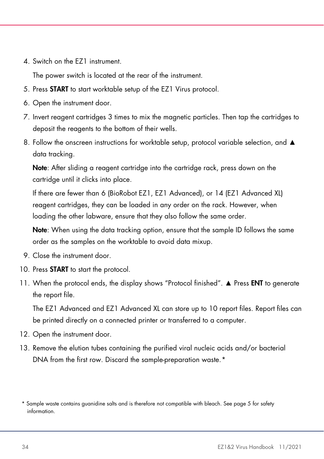4. Switch on the EZ1 instrument.

The power switch is located at the rear of the instrument.

- <span id="page-33-2"></span>5. Press START to start worktable setup of the EZ1 Virus protocol.
- 6. Open the instrument door.
- 7. Invert reagent cartridges 3 times to mix the magnetic particles. Then tap the cartridges to deposit the reagents to the bottom of their wells.
- <span id="page-33-0"></span>8. Follow the onscreen instructions for worktable setup, protocol variable selection, and ▲ data tracking.

Note: After sliding a reagent cartridge into the cartridge rack, press down on the cartridge until it clicks into place.

If there are fewer than 6 (BioRobot EZ1, EZ1 Advanced), or 14 (EZ1 Advanced XL) reagent cartridges, they can be loaded in any order on the rack. However, when loading the other labware, ensure that they also follow the same order.

Note: When using the data tracking option, ensure that the sample ID follows the same order as the samples on the worktable to avoid data mixup.

- 9. Close the instrument door.
- 10. Press **START** to start the protocol.
- 11. When the protocol ends, the display shows "Protocol finished". ▲ Press ENT to generate the report file.

The EZ1 Advanced and EZ1 Advanced XL can store up to 10 report files. Report files can be printed directly on a connected printer or transferred to a computer.

- 12. Open the instrument door.
- 13. Remove the elution tubes containing the purified viral nucleic acids and/or bacterial DNA from the first row. Discard the sample-preparation waste.[\\*](#page-33-1)

<span id="page-33-1"></span><sup>\*</sup> Sample waste contains guanidine salts and is therefore not compatible with bleach. See page [5](#page-4-2) for safety information.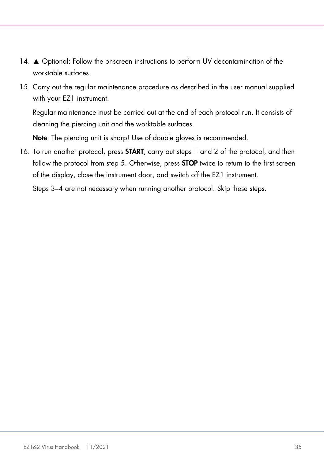- 14. ▲ Optional: Follow the onscreen instructions to perform UV decontamination of the worktable surfaces.
- 15. Carry out the regular maintenance procedure as described in the user manual supplied with your EZ1 instrument.

Regular maintenance must be carried out at the end of each protocol run. It consists of cleaning the piercing unit and the worktable surfaces.

Note: The piercing unit is sharp! Use of double gloves is recommended.

16. To run another protocol, press **START**, carry out steps 1 and 2 of the protocol, and then follow the protocol from step [5.](#page-33-2) Otherwise, press **STOP** twice to return to the first screen of the display, close the instrument door, and switch off the EZ1 instrument.

Steps 3–4 are not necessary when running another protocol. Skip these steps.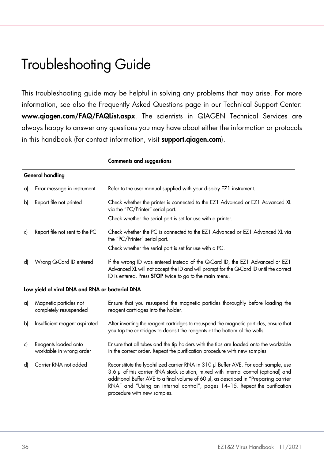### <span id="page-35-0"></span>Troubleshooting Guide

This troubleshooting guide may be helpful in solving any problems that may arise. For more information, see also the Frequently Asked Questions page in our Technical Support Center: www.qiagen.com/FAQ/FAQList.aspx. The scientists in QIAGEN Technical Services are always happy to answer any questions you may have about either the information or protocols in this handbook (for contact information, visit **support.aiagen.com**).

|    |                                                  | <b>Comments and suggestions</b>                                                                                                                                                                                                                                                                                                                                                   |  |  |
|----|--------------------------------------------------|-----------------------------------------------------------------------------------------------------------------------------------------------------------------------------------------------------------------------------------------------------------------------------------------------------------------------------------------------------------------------------------|--|--|
|    | <b>General handling</b>                          |                                                                                                                                                                                                                                                                                                                                                                                   |  |  |
| a) | Error message in instrument                      | Refer to the user manual supplied with your display EZ1 instrument.                                                                                                                                                                                                                                                                                                               |  |  |
| b) | Report file not printed                          | Check whether the printer is connected to the EZ1 Advanced or EZ1 Advanced XL<br>via the "PC/Printer" serial port.                                                                                                                                                                                                                                                                |  |  |
|    |                                                  | Check whether the serial port is set for use with a printer.                                                                                                                                                                                                                                                                                                                      |  |  |
| c) | Report file not sent to the PC                   | Check whether the PC is connected to the EZ1 Advanced or EZ1 Advanced XL via<br>the "PC/Printer" serial port.                                                                                                                                                                                                                                                                     |  |  |
|    |                                                  | Check whether the serial port is set for use with a PC.                                                                                                                                                                                                                                                                                                                           |  |  |
| d) | Wrong Q-Card ID entered                          | If the wrong ID was entered instead of the Q-Card ID, the EZ1 Advanced or EZ1<br>Advanced XL will not accept the ID and will prompt for the Q-Card ID until the correct<br>ID is entered. Press <b>STOP</b> twice to go to the main menu.                                                                                                                                         |  |  |
|    | Low yield of viral DNA and RNA or bacterial DNA  |                                                                                                                                                                                                                                                                                                                                                                                   |  |  |
| a) | Magnetic particles not<br>completely resuspended | Ensure that you resuspend the magnetic particles thoroughly before loading the<br>reagent cartridges into the holder.                                                                                                                                                                                                                                                             |  |  |
| b) | Insufficient reagent aspirated                   | After inverting the reagent cartridges to resuspend the magnetic particles, ensure that<br>you tap the cartridges to deposit the reagents at the bottom of the wells.                                                                                                                                                                                                             |  |  |
| c) | Reagents loaded onto<br>worktable in wrong order | Ensure that all tubes and the tip holders with the tips are loaded onto the worktable<br>in the correct order. Repeat the purification procedure with new samples.                                                                                                                                                                                                                |  |  |
| d) | Carrier RNA not added                            | Reconstitute the lyophilized carrier RNA in 310 µl Buffer AVE. For each sample, use<br>3.6 µl of this carrier RNA stock solution, mixed with internal control (optional) and<br>additional Buffer AVE to a final volume of 60 µl, as described in "Preparing carrier<br>RNA" and "Using an internal control", pages 14-15. Repeat the purification<br>procedure with new samples. |  |  |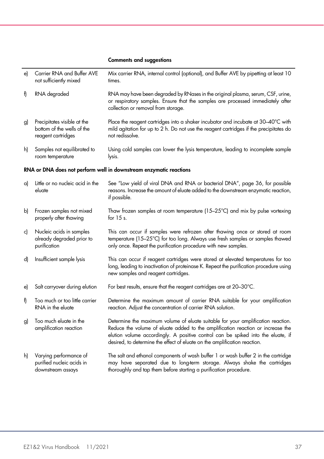#### Comments and suggestions

| e) | Carrier RNA and Buffer AVE<br>not sufficiently mixed                            | Mix carrier RNA, internal control (optional), and Buffer AVE by pipetting at least 10<br>times.                                                                                                                                                                                                                                      |
|----|---------------------------------------------------------------------------------|--------------------------------------------------------------------------------------------------------------------------------------------------------------------------------------------------------------------------------------------------------------------------------------------------------------------------------------|
| f) | RNA degraded                                                                    | RNA may have been degraded by RNases in the original plasma, serum, CSF, urine,<br>or respiratory samples. Ensure that the samples are processed immediately after<br>collection or removal from storage.                                                                                                                            |
| g) | Precipitates visible at the<br>bottom of the wells of the<br>reagent cartridges | Place the reagent cartridges into a shaker incubator and incubate at 30-40°C with<br>mild agitation for up to 2 h. Do not use the reagent cartridges if the precipitates do<br>not redissolve.                                                                                                                                       |
| h) | Samples not equilibrated to<br>room temperature                                 | Using cold samples can lower the lysis temperature, leading to incomplete sample<br>lysis.                                                                                                                                                                                                                                           |
|    |                                                                                 | RNA or DNA does not perform well in downstream enzymatic reactions                                                                                                                                                                                                                                                                   |
| a) | Little or no nucleic acid in the<br>eluate                                      | See "Low yield of viral DNA and RNA or bacterial DNA", page 36, for possible<br>reasons. Increase the amount of eluate added to the downstream enzymatic reaction,<br>if possible.                                                                                                                                                   |
| b) | Frozen samples not mixed<br>properly after thawing                              | Thaw frozen samples at room temperature (15-25°C) and mix by pulse vortexing<br>for $15$ s.                                                                                                                                                                                                                                          |
| c) | Nucleic acids in samples<br>already degraded prior to<br>purification           | This can occur if samples were refrozen after thawing once or stored at room<br>temperature (15-25°C) for too long. Always use fresh samples or samples thawed<br>only once. Repeat the purification procedure with new samples.                                                                                                     |
| d) | Insufficient sample lysis                                                       | This can occur if reagent cartridges were stored at elevated temperatures for too<br>long, leading to inactivation of proteinase K. Repeat the purification procedure using<br>new samples and reagent cartridges.                                                                                                                   |
| e) | Salt carryover during elution                                                   | For best results, ensure that the reagent cartridges are at 20-30°C.                                                                                                                                                                                                                                                                 |
| f) | Too much or too little carrier<br>RNA in the eluate                             | Determine the maximum amount of carrier RNA suitable for your amplification<br>reaction. Adjust the concentration of carrier RNA solution.                                                                                                                                                                                           |
| g) | Too much eluate in the<br>amplification reaction                                | Determine the maximum volume of eluate suitable for your amplification reaction.<br>Reduce the volume of eluate added to the amplification reaction or increase the<br>elution volume accordingly. A positive control can be spiked into the eluate, if<br>desired, to determine the effect of eluate on the amplification reaction. |
| h) | Varying performance of<br>purified nucleic acids in<br>downstream assays        | The salt and ethanol components of wash buffer 1 or wash buffer 2 in the cartridge<br>may have separated due to long-term storage. Always shake the cartridges<br>thoroughly and tap them before starting a purification procedure.                                                                                                  |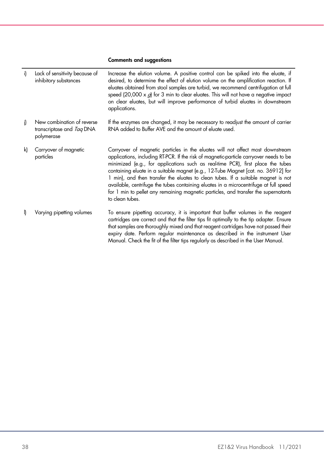#### Comments and suggestions

| i)           | Lack of sensitivity because of<br>inhibitory substances               | Increase the elution volume. A positive control can be spiked into the eluate, if<br>desired, to determine the effect of elution volume on the amplification reaction. If<br>eluates obtained from stool samples are turbid, we recommend centrifugation at full<br>speed (20,000 x $g$ ) for 3 min to clear eluates. This will not have a negative impact<br>on clear eluates, but will improve performance of turbid eluates in downstream<br>applications.                                                                                                                                                                            |
|--------------|-----------------------------------------------------------------------|------------------------------------------------------------------------------------------------------------------------------------------------------------------------------------------------------------------------------------------------------------------------------------------------------------------------------------------------------------------------------------------------------------------------------------------------------------------------------------------------------------------------------------------------------------------------------------------------------------------------------------------|
| i)           | New combination of reverse<br>transcriptase and Tag DNA<br>polymerase | If the enzymes are changed, it may be necessary to readjust the amount of carrier<br>RNA added to Buffer AVE and the amount of eluate used.                                                                                                                                                                                                                                                                                                                                                                                                                                                                                              |
| k)           | Carryover of magnetic<br>particles                                    | Carryover of magnetic particles in the eluates will not affect most downstream<br>applications, including RT-PCR. If the risk of magnetic-particle carryover needs to be<br>minimized (e.g., for applications such as real-time PCR), first place the tubes<br>containing eluate in a suitable magnet (e.g., 12-Tube Magnet [cat. no. 36912] for<br>1 min), and then transfer the eluates to clean tubes. If a suitable magnet is not<br>available, centrifuge the tubes containing eluates in a microcentrifuge at full speed<br>for 1 min to pellet any remaining magnetic particles, and transfer the supernatants<br>to clean tubes. |
| $\mathsf{I}$ | Varying pipetting volumes                                             | To ensure pipetting accuracy, it is important that buffer volumes in the reagent<br>cartridges are correct and that the filter tips fit optimally to the tip adapter. Ensure<br>that samples are thoroughly mixed and that reagent cartridges have not passed their<br>expiry date. Perform regular maintenance as described in the instrument User<br>Manual. Check the fit of the filter tips regularly as described in the User Manual.                                                                                                                                                                                               |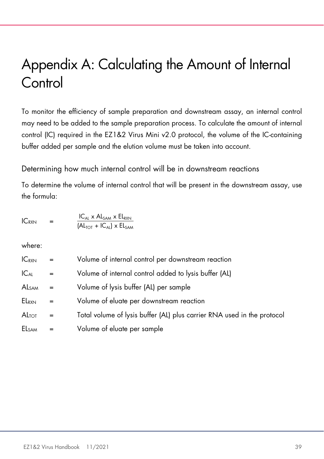# <span id="page-38-0"></span>Appendix A: Calculating the Amount of Internal **Control**

To monitor the efficiency of sample preparation and downstream assay, an internal control may need to be added to the sample preparation process. To calculate the amount of internal control (IC) required in the EZ1&2 Virus Mini v2.0 protocol, the volume of the IC-containing buffer added per sample and the elution volume must be taken into account.

Determining how much internal control will be in downstream reactions

To determine the volume of internal control that will be present in the downstream assay, use the formula:

| $IC_{RXN}$ | $=$ | $IC_{AI}$ x $AlSAM$ x $ElRXN$                                       |
|------------|-----|---------------------------------------------------------------------|
|            |     | $\left(AL_{\text{TOT}} + IC_{\text{Al}}\right)$ x $EL_{\text{SAM}}$ |

where:

| $IC_{RXN}$        | $=$ | Volume of internal control per downstream reaction                      |
|-------------------|-----|-------------------------------------------------------------------------|
| $IC_{AL}$         | $=$ | Volume of internal control added to lysis buffer (AL)                   |
| AL <sub>SAM</sub> | $=$ | Volume of lysis buffer (AL) per sample                                  |
| ELRXN             | $=$ | Volume of eluate per downstream reaction                                |
| ALTOT             | $=$ | Total volume of lysis buffer (AL) plus carrier RNA used in the protocol |
| <b>ELSAM</b>      | =   | Volume of eluate per sample                                             |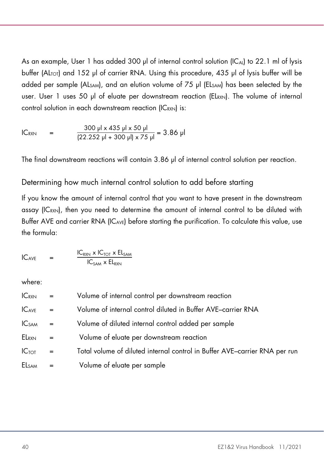As an example, User 1 has added 300 μl of internal control solution (ICAL) to 22.1 ml of lysis buffer (AL<sub>TOT</sub>) and 152 μl of carrier RNA. Using this procedure, 435 μl of lysis buffer will be added per sample (ALSAM), and an elution volume of 75 μl (ELSAM) has been selected by the user. User 1 uses 50 μl of eluate per downstream reaction (ELRXN). The volume of internal control solution in each downstream reaction (ICRXN) is:

IC<sub>RXN</sub> = 
$$
\frac{300 \text{ pl} \times 435 \text{ pl} \times 50 \text{ pl}}{(22.252 \text{ pl} + 300 \text{ pl}) \times 75 \text{ pl}} = 3.86 \text{ pl}
$$

The final downstream reactions will contain 3.86 μl of internal control solution per reaction.

#### Determining how much internal control solution to add before starting

If you know the amount of internal control that you want to have present in the downstream assay (IC<sub>RXN</sub>), then you need to determine the amount of internal control to be diluted with Buffer AVE and carrier RNA (IC<sub>AVE</sub>) before starting the purification. To calculate this value, use the formula:

$$
IC_{AVE} = \frac{IC_{RXN} \times IC_{TOT} \times EL_{SAM}}{IC_{SAM} \times EL_{RXN}}
$$

where:

| $IC_{RXN}$    | $=$ | Volume of internal control per downstream reaction                         |
|---------------|-----|----------------------------------------------------------------------------|
| $IC_{AVE}$    | $=$ | Volume of internal control diluted in Buffer AVE-carrier RNA               |
| <b>IC</b> sam | $=$ | Volume of diluted internal control added per sample                        |
| ELRXN         | $=$ | Volume of eluate per downstream reaction                                   |
| $IC_{TOT}$    | $=$ | Total volume of diluted internal control in Buffer AVE-carrier RNA per run |
| <b>ELSAM</b>  |     | Volume of eluate per sample                                                |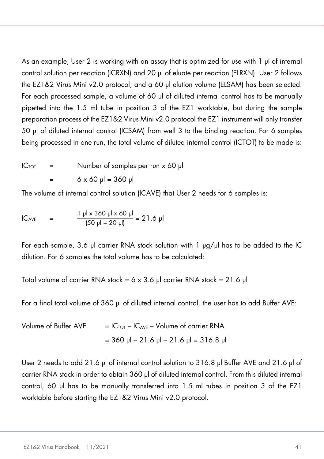As an example, User 2 is working with an assay that is optimized for use with 1 μl of internal control solution per reaction (ICRXN) and 20 μl of eluate per reaction (ELRXN). User 2 follows the EZ1&2 Virus Mini v2.0 protocol, and a 60 μl elution volume (ELSAM) has been selected. For each processed sample, a volume of 60 μl of diluted internal control has to be manually pipetted into the 1.5 ml tube in position 3 of the EZ1 worktable, but during the sample preparation process of the EZ1&2 Virus Mini v2.0 protocol the EZ1 instrument will only transfer 50 μl of diluted internal control (ICSAM) from well 3 to the binding reaction. For 6 samples being processed in one run, the total volume of diluted internal control (ICTOT) to be made is:

 $IC_{TOT}$  = Number of samples per run x 60 μl  $6 \times 60 \mu = 360 \mu$ 

The volume of internal control solution (ICAVE) that User 2 needs for 6 samples is:

IC<sub>AVE</sub> = 
$$
\frac{1 \text{ } \mu \text{ } \times 360 \text{ } \mu \text{ } \times 60 \text{ } \mu \text{}}{(50 \text{ } \mu \text{ } + 20 \text{ } \mu \text{)}} = 21.6 \text{ } \mu \text{}
$$

For each sample, 3.6 μl carrier RNA stock solution with 1 μg/μl has to be added to the IC dilution. For 6 samples the total volume has to be calculated:

Total volume of carrier RNA stock = 6 x 3.6 μl carrier RNA stock = 21.6 μl

For a final total volume of 360 μl of diluted internal control, the user has to add Buffer AVE:

| Volume of Buffer AVE | $=$ IC <sub>TOT</sub> – IC <sub>AVE</sub> – Volume of carrier RNA |
|----------------------|-------------------------------------------------------------------|
|                      | $=$ 360 µl – 21.6 µl – 21.6 µl = 316.8 µl                         |

User 2 needs to add 21.6 μl of internal control solution to 316.8 μl Buffer AVE and 21.6 μl of carrier RNA stock in order to obtain 360 μl of diluted internal control. From this diluted internal control, 60 μl has to be manually transferred into 1.5 ml tubes in position 3 of the EZ1 worktable before starting the EZ1&2 Virus Mini v2.0 protocol.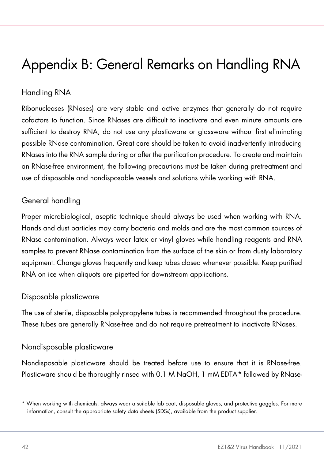# <span id="page-41-0"></span>Appendix B: General Remarks on Handling RNA

### Handling RNA

Ribonucleases (RNases) are very stable and active enzymes that generally do not require cofactors to function. Since RNases are difficult to inactivate and even minute amounts are sufficient to destroy RNA, do not use any plasticware or glassware without first eliminating possible RNase contamination. Great care should be taken to avoid inadvertently introducing RNases into the RNA sample during or after the purification procedure. To create and maintain an RNase-free environment, the following precautions must be taken during pretreatment and use of disposable and nondisposable vessels and solutions while working with RNA.

#### General handling

Proper microbiological, aseptic technique should always be used when working with RNA. Hands and dust particles may carry bacteria and molds and are the most common sources of RNase contamination. Always wear latex or vinyl gloves while handling reagents and RNA samples to prevent RNase contamination from the surface of the skin or from dusty laboratory equipment. Change gloves frequently and keep tubes closed whenever possible. Keep purified RNA on ice when aliquots are pipetted for downstream applications.

#### Disposable plasticware

The use of sterile, disposable polypropylene tubes is recommended throughout the procedure. These tubes are generally RNase-free and do not require pretreatment to inactivate RNases.

#### Nondisposable plasticware

Nondisposable plasticware should be treated before use to ensure that it is RNase-free. Plasticware should be thoroughly rinsed with 0.1 M NaOH, 1 mM EDTA[\\*](#page-41-1) followed by RNase-

<span id="page-41-1"></span><sup>\*</sup> When working with chemicals, always wear a suitable lab coat, disposable gloves, and protective goggles. For more information, consult the appropriate safety data sheets (SDSs), available from the product supplier.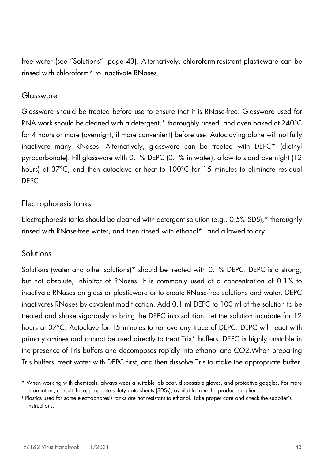free water (see "Solutions", page [43\)](#page-42-0). Alternatively, chloroform-resistant plasticware can be rinsed with chloroform[\\*](#page-42-1) to inactivate RNases.

#### Glassware

Glassware should be treated before use to ensure that it is RNase-free. Glassware used for RNA work should be cleaned with a detergent,\* thoroughly rinsed, and oven baked at 240°C for 4 hours or more (overnight, if more convenient) before use. Autoclaving alone will not fully inactivate many RNases. Alternatively, glassware can be treated with DEPC\* (diethyl pyrocarbonate). Fill glassware with 0.1% DEPC (0.1% in water), allow to stand overnight (12 hours) at 37°C, and then autoclave or heat to 100°C for 15 minutes to eliminate residual DEPC.

#### Electrophoresis tanks

Electrophoresis tanks should be cleaned with detergent solution (e.g., 0.5% SDS),\* thoroughly rinsed with RNase-free water, and then rinsed with ethanol\*[†](#page-42-2) and allowed to dry.

#### <span id="page-42-0"></span>**Solutions**

Solutions (water and other solutions)\* should be treated with 0.1% DEPC. DEPC is a strong, but not absolute, inhibitor of RNases. It is commonly used at a concentration of 0.1% to inactivate RNases on glass or plasticware or to create RNase-free solutions and water. DEPC inactivates RNases by covalent modification. Add 0.1 ml DEPC to 100 ml of the solution to be treated and shake vigorously to bring the DEPC into solution. Let the solution incubate for 12 hours at 37°C. Autoclave for 15 minutes to remove any trace of DEPC. DEPC will react with primary amines and cannot be used directly to treat Tris\* buffers. DEPC is highly unstable in the presence of Tris buffers and decomposes rapidly into ethanol and CO2.When preparing Tris buffers, treat water with DEPC first, and then dissolve Tris to make the appropriate buffer.

<span id="page-42-1"></span><sup>\*</sup> When working with chemicals, always wear a suitable lab coat, disposable gloves, and protective goggles. For more information, consult the appropriate safety data sheets (SDSs), available from the product supplier.

<span id="page-42-2"></span><sup>†</sup> Plastics used for some electrophoresis tanks are not resistant to ethanol. Take proper care and check the supplier's instructions.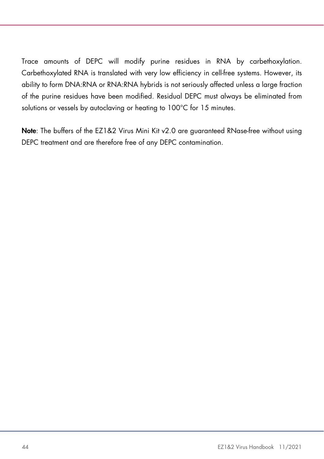Trace amounts of DEPC will modify purine residues in RNA by carbethoxylation. Carbethoxylated RNA is translated with very low efficiency in cell-free systems. However, its ability to form DNA:RNA or RNA:RNA hybrids is not seriously affected unless a large fraction of the purine residues have been modified. Residual DEPC must always be eliminated from solutions or vessels by autoclaving or heating to 100°C for 15 minutes.

Note: The buffers of the EZ1&2 Virus Mini Kit v2.0 are guaranteed RNase-free without using DEPC treatment and are therefore free of any DEPC contamination.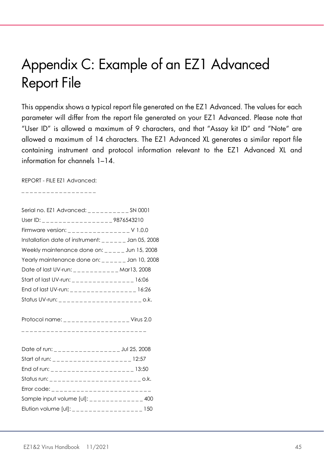# <span id="page-44-0"></span>Appendix C: Example of an EZ1 Advanced Report File

This appendix shows a typical report file generated on the EZ1 Advanced. The values for each parameter will differ from the report file generated on your EZ1 Advanced. Please note that "User ID" is allowed a maximum of 9 characters, and that "Assay kit ID" and "Note" are allowed a maximum of 14 characters. The EZ1 Advanced XL generates a similar report file containing instrument and protocol information relevant to the EZ1 Advanced XL and information for channels 1–14.

REPORT - FILE EZ1 Advanced:

\_ \_ \_ \_ \_ \_ \_ \_ \_ \_ \_ \_ \_ \_ \_ \_ \_ \_

| Serial no. EZ1 Advanced: __________ SN 0001                                              |  |
|------------------------------------------------------------------------------------------|--|
| User ID: ____________________9876543210                                                  |  |
| Firmware version: _______________V 1.0.0                                                 |  |
| Installation date of instrument: $\frac{1}{2} - \frac{1}{2} = -\frac{1}{2}$ Jan 05, 2008 |  |
| Weekly maintenance done on: $_{---}$ Jun 15, 2008                                        |  |
| Yearly maintenance done on: ______ Jan 10, 2008                                          |  |
| Date of last UV-run: _ _ _ _ _ _ _ _ _ _ _ Mar13, 2008                                   |  |
| Start of last UV-run: _ _ _ _ _ _ _ _ _ _ _ _ _ _ 16:06                                  |  |
| End of last UV-run: _________________ 16:26                                              |  |
|                                                                                          |  |
| Protocol name: _________________ Virus 2.0                                               |  |
| --------------------------------                                                         |  |
| Date of run: __________________Jul 25, 2008                                              |  |
| Start of run: _ _ _ _ _ _ _ _ _ _ _ _ _ _ _ _ _ _ 12:57                                  |  |
|                                                                                          |  |
|                                                                                          |  |
| Error code: __________________________                                                   |  |
| Sample input volume $[ul]$ : ______________ 400                                          |  |
| Elution volume [ul]: __________________ 150                                              |  |
|                                                                                          |  |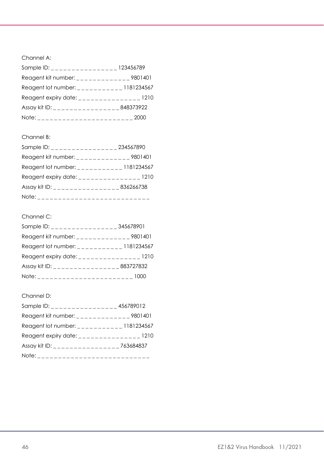Channel A:

| Sample ID: _ _ _ _ _ _ _ _ _ _ _ _ _ _ _ _ 123456789                                           |      |
|------------------------------------------------------------------------------------------------|------|
| Reagent kit number: ______________ 9801401                                                     |      |
| Reagent lot number: $\frac{1}{2}$ = $\frac{1}{2}$ = $\frac{1}{2}$ = $\frac{1}{2}$ = 1181234567 |      |
| Reagent expiry date: _________________ 1210                                                    |      |
| Assay kit ID: ____________________848373922                                                    |      |
|                                                                                                | 2000 |

#### Channel B:

| Sample ID: ________________                                                                               | 234567890 |
|-----------------------------------------------------------------------------------------------------------|-----------|
| Reagent kit number: $\frac{1}{2}$ = $\frac{1}{2}$ = $\frac{1}{2}$ = $\frac{1}{2}$ = $\frac{1}{2}$ 9801401 |           |
| Reagent lot number: _ _ _ _ _ _ _ _ _ _ _ 1181234567                                                      |           |
| Reagent expiry date: ________________ 1210                                                                |           |
| Assay kit ID: _______________________ 836266738                                                           |           |
| Note: _ _ _ _ _ _ _ _ _ _ _ _ _ _ _ _ _                                                                   |           |

#### Channel C:

| Sample ID: $\frac{1}{2}$ = $\frac{1}{2}$ = $\frac{1}{2}$ = $\frac{1}{2}$ = $\frac{1}{2}$ = $\frac{1}{2}$ = $\frac{1}{2}$ 345678901 |  |
|------------------------------------------------------------------------------------------------------------------------------------|--|
| Reagent kit number: _ _ _ _ _ _ _ _ _ _ _ _ 9801401                                                                                |  |
| Reagent lot number: $\frac{1}{2}$ = $\frac{1}{2}$ = $\frac{1}{2}$ = $\frac{1}{2}$ = 1181234567                                     |  |
| Reagent expiry date: _________________ 1210                                                                                        |  |
| Assay kit ID: ___________________883727832                                                                                         |  |
|                                                                                                                                    |  |

#### Channel D:

| Sample ID: $\_$                                      | 456789012 |
|------------------------------------------------------|-----------|
| Reagent kit number: _______________ 9801401          |           |
| Reagent lot number: _ _ _ _ _ _ _ _ _ _ _ 1181234567 |           |
| Reagent expiry date: ________________1210            |           |
| Assay kit ID: _________________763684837             |           |
| Note: ____________________                           |           |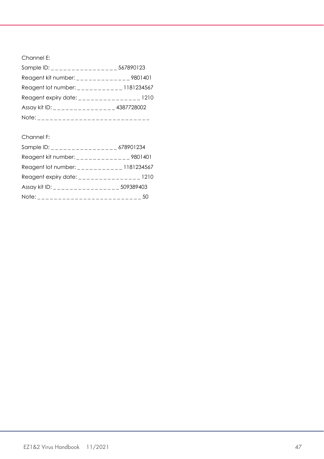Channel E:

| Sample ID: _ _ _ _ _ _ _ _ _ _ _ _ _ _ _ 567890123                                                                                       |  |
|------------------------------------------------------------------------------------------------------------------------------------------|--|
| Reagent kit number: $\frac{1}{2}$ = $\frac{1}{2}$ = $\frac{1}{2}$ = $\frac{1}{2}$ = $\frac{1}{2}$ = $\frac{1}{2}$ 9801401                |  |
| Reagent lot number: ___________ 1181234567                                                                                               |  |
| Reagent expiry date: ________________ 1210                                                                                               |  |
| Assay kit ID: $\frac{1}{2}$ = $\frac{1}{2}$ = $\frac{1}{2}$ = $\frac{1}{2}$ = $\frac{1}{2}$ = $\frac{1}{2}$ = $\frac{1}{2}$ = 4387728002 |  |
| Note: _ _ _ _ _ _ _ _ _ _ _ _ _ _ _ _ _                                                                                                  |  |

#### Channel F:

| Sample ID: $\frac{1}{2}$ = $\frac{1}{2}$ = $\frac{1}{2}$ = $\frac{1}{2}$ = $\frac{1}{2}$ = $\frac{1}{2}$ = $\frac{1}{2}$ = $\frac{1}{2}$ = $\frac{1}{2}$ = $\frac{1}{2}$ = $\frac{1}{2}$ = $\frac{1}{2}$ = $\frac{1}{2}$ = $\frac{1}{2}$ = $\frac{1}{2}$ = $\frac{1}{2}$ = $\frac{1}{2}$ = $\frac{1}{$ |  |
|--------------------------------------------------------------------------------------------------------------------------------------------------------------------------------------------------------------------------------------------------------------------------------------------------------|--|
| Reagent kit number: _______________ 9801401                                                                                                                                                                                                                                                            |  |
| Reagent lot number: $\frac{1}{2}$ = $\frac{1}{2}$ = $\frac{1}{2}$ = $\frac{1}{2}$ = 1181234567                                                                                                                                                                                                         |  |
| Reagent expiry date: _________________ 1210                                                                                                                                                                                                                                                            |  |
| Assay kit ID: _________________509389403                                                                                                                                                                                                                                                               |  |
|                                                                                                                                                                                                                                                                                                        |  |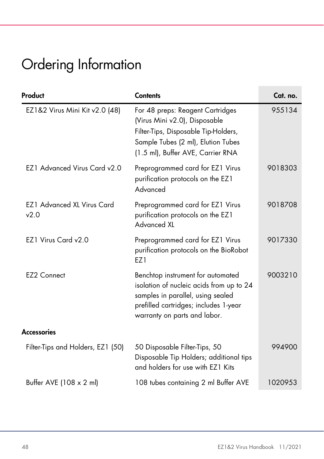# <span id="page-47-0"></span>Ordering Information

| Product                                   | <b>Contents</b>                                                                                                                                                                             | Cat. no. |
|-------------------------------------------|---------------------------------------------------------------------------------------------------------------------------------------------------------------------------------------------|----------|
| EZ1&2 Virus Mini Kit v2.0 (48)            | For 48 preps: Reagent Cartridges<br>(Virus Mini v2.0), Disposable<br>Filter-Tips, Disposable Tip-Holders,<br>Sample Tubes (2 ml), Elution Tubes<br>(1.5 ml), Buffer AVE, Carrier RNA        | 955134   |
| <b>EZ1 Advanced Virus Card v2.0</b>       | Preprogrammed card for EZ1 Virus<br>purification protocols on the EZ1<br>Advanced                                                                                                           | 9018303  |
| <b>EZ1 Advanced XL Virus Card</b><br>v2.0 | Preprogrammed card for EZ1 Virus<br>purification protocols on the EZ1<br><b>Advanced XL</b>                                                                                                 | 9018708  |
| EZ1 Virus Card v2.0                       | Preprogrammed card for EZ1 Virus<br>purification protocols on the BioRobot<br>F71                                                                                                           | 9017330  |
| <b>EZ2 Connect</b>                        | Benchtop instrument for automated<br>isolation of nucleic acids from up to 24<br>samples in parallel, using sealed<br>prefilled cartridges; includes 1-year<br>warranty on parts and labor. | 9003210  |
| <b>Accessories</b>                        |                                                                                                                                                                                             |          |
| Filter-Tips and Holders, EZ1 (50)         | 50 Disposable Filter-Tips, 50<br>Disposable Tip Holders; additional tips<br>and holders for use with EZ1 Kits                                                                               | 994900   |
| Buffer AVE (108 x 2 ml)                   | 108 tubes containing 2 ml Buffer AVE                                                                                                                                                        | 1020953  |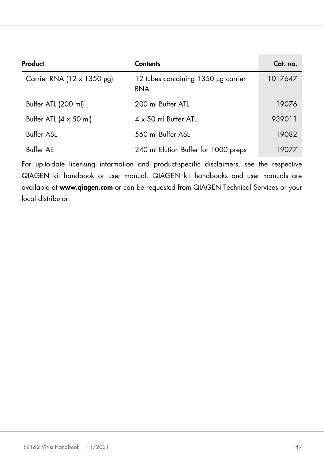| Product                               | <b>Contents</b>                                   | Cat. no. |
|---------------------------------------|---------------------------------------------------|----------|
| Carrier RNA (12 $\times$ 1350 µg)     | 12 tubes containing 1350 µg carrier<br><b>RNA</b> | 1017647  |
| Buffer ATL (200 ml)                   | 200 ml Buffer ATL                                 | 19076    |
| Buffer ATL $(4 \times 50 \text{ ml})$ | $4 \times 50$ ml Buffer ATL                       | 939011   |
| <b>Buffer ASL</b>                     | 560 ml Buffer ASL                                 | 19082    |
| Buffer AE                             | 240 ml Elution Buffer for 1000 preps              | 19077    |

For up-to-date licensing information and product-specific disclaimers, see the respective QIAGEN kit handbook or user manual. QIAGEN kit handbooks and user manuals are available at www.qiagen.com or can be requested from QIAGEN Technical Services or your local distributor.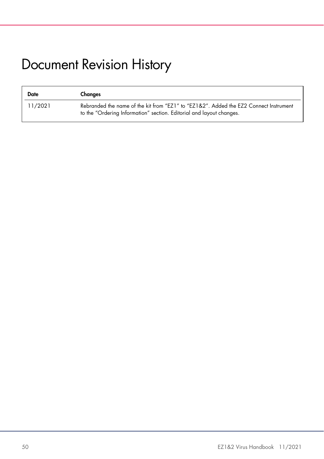# <span id="page-49-0"></span>Document Revision History

| Date    | Changes                                                                                                                                                       |
|---------|---------------------------------------------------------------------------------------------------------------------------------------------------------------|
| 11/2021 | Rebranded the name of the kit from "EZ1" to "EZ1&2". Added the EZ2 Connect Instrument<br>to the "Ordering Information" section. Editorial and layout changes. |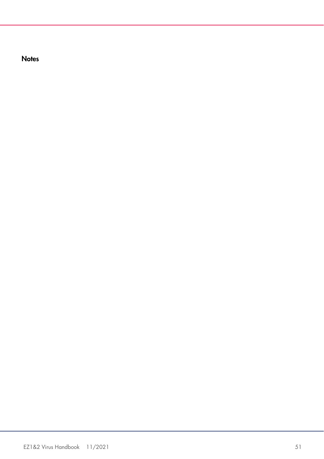**Notes**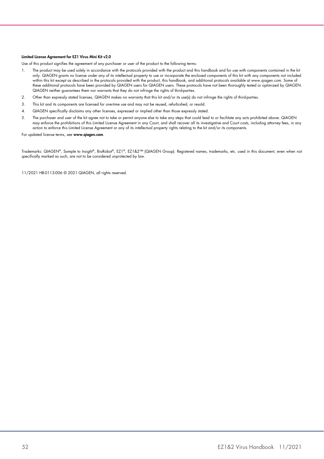#### Limited License Agreement for EZ1 Virus Mini Kit v2.0

Use of this product signifies the agreement of any purchaser or user of the product to the following terms:

- 1. The product may be used solely in accordance with the protocols provided with the product and this handbook and for use with components contained in the kit only. QIAGEN grants no license under any of its intellectual property to use or incorporate the enclosed components of this kit with any components not included within this kit except as described in the protocols provided with the product, this handbook, and additional protocols available at www.qiagen.com. Some of these additional protocols have been provided by QIAGEN users for QIAGEN users. These protocols have not been thoroughly tested or optimized by QIAGEN. QIAGEN neither guarantees them nor warrants that they do not infringe the rights of third-parties.
- 2. Other than expressly stated licenses, QIAGEN makes no warranty that this kit and/or its use(s) do not infringe the rights of third-parties.
- 3. This kit and its components are licensed for one-time use and may not be reused, refurbished, or resold.
- 4. QIAGEN specifically disclaims any other licenses, expressed or implied other than those expressly stated.
- 5. The purchaser and user of the kit agree not to take or permit anyone else to take any steps that could lead to or facilitate any acts prohibited above. QIAGEN may enforce the prohibitions of this Limited License Agreement in any Court, and shall recover all its investigative and Court costs, including attorney fees, in any action to enforce this Limited License Agreement or any of its intellectual property rights relating to the kit and/or its components.

For updated license terms, see www.qiagen.com.

Trademarks: QIAGEN®, Sample to Insight®, BioRobot®, EZ1®, EZ1&2™ (QIAGEN Group). Registered names, trademarks, etc. used in this document, even when not specifically marked as such, are not to be considered unprotected by law.

11/2021 HB-0113-006 © 2021 QIAGEN, all rights reserved.